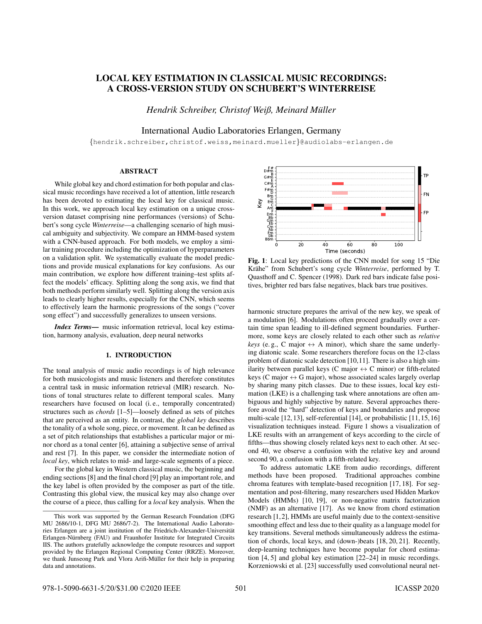# LOCAL KEY ESTIMATION IN CLASSICAL MUSIC RECORDINGS: A CROSS-VERSION STUDY ON SCHUBERT'S WINTERREISE

*Hendrik Schreiber, Christof Weiß, Meinard Muller ¨*

International Audio Laboratories Erlangen, Germany

{hendrik.schreiber,christof.weiss,meinard.mueller}@audiolabs-erlangen.de

# ABSTRACT

While global key and chord estimation for both popular and classical music recordings have received a lot of attention, little research has been devoted to estimating the local key for classical music. In this work, we approach local key estimation on a unique crossversion dataset comprising nine performances (versions) of Schubert's song cycle *Winterreise*—a challenging scenario of high musical ambiguity and subjectivity. We compare an HMM-based system with a CNN-based approach. For both models, we employ a similar training procedure including the optimization of hyperparameters on a validation split. We systematically evaluate the model predictions and provide musical explanations for key confusions. As our main contribution, we explore how different training–test splits affect the models' efficacy. Splitting along the song axis, we find that both methods perform similarly well. Splitting along the version axis leads to clearly higher results, especially for the CNN, which seems to effectively learn the harmonic progressions of the songs ("cover song effect") and successfully generalizes to unseen versions.

*Index Terms*— music information retrieval, local key estimation, harmony analysis, evaluation, deep neural networks

# 1. INTRODUCTION

The tonal analysis of music audio recordings is of high relevance for both musicologists and music listeners and therefore constitutes a central task in music information retrieval (MIR) research. Notions of tonal structures relate to different temporal scales. Many researchers have focused on local (i. e., temporally concentrated) structures such as *chords* [1–5]—loosely defined as sets of pitches that are perceived as an entity. In contrast, the *global key* describes the tonality of a whole song, piece, or movement. It can be defined as a set of pitch relationships that establishes a particular major or minor chord as a tonal center [6], attaining a subjective sense of arrival and rest [7]. In this paper, we consider the intermediate notion of *local key*, which relates to mid- and large-scale segments of a piece.

For the global key in Western classical music, the beginning and ending sections [8] and the final chord [9] play an important role, and the key label is often provided by the composer as part of the title. Contrasting this global view, the musical key may also change over the course of a piece, thus calling for a *local* key analysis. When the



Fig. 1: Local key predictions of the CNN model for song 15 "Die Krähe" from Schubert's song cycle Winterreise, performed by T. Quasthoff and C. Spencer (1998). Dark red bars indicate false positives, brighter red bars false negatives, black bars true positives.

harmonic structure prepares the arrival of the new key, we speak of a modulation [6]. Modulations often proceed gradually over a certain time span leading to ill-defined segment boundaries. Furthermore, some keys are closely related to each other such as *relative keys* (e.g., C major  $\leftrightarrow$  A minor), which share the same underlying diatonic scale. Some researchers therefore focus on the 12-class problem of diatonic scale detection [10,11]. There is also a high similarity between parallel keys (C major  $\leftrightarrow$  C minor) or fifth-related keys (C major  $\leftrightarrow$  G major), whose associated scales largely overlap by sharing many pitch classes. Due to these issues, local key estimation (LKE) is a challenging task where annotations are often ambiguous and highly subjective by nature. Several approaches therefore avoid the "hard" detection of keys and boundaries and propose multi-scale [12, 13], self-referential [14], or probabilistic [11, 15, 16] visualization techniques instead. Figure 1 shows a visualization of LKE results with an arrangement of keys according to the circle of fifths—thus showing closely related keys next to each other. At second 40, we observe a confusion with the relative key and around second 90, a confusion with a fifth-related key.

To address automatic LKE from audio recordings, different methods have been proposed. Traditional approaches combine chroma features with template-based recognition [17, 18]. For segmentation and post-filtering, many researchers used Hidden Markov Models (HMMs) [10, 19], or non-negative matrix factorization (NMF) as an alternative [17]. As we know from chord estimation research [1, 2], HMMs are useful mainly due to the context-sensitive smoothing effect and less due to their quality as a language model for key transitions. Several methods simultaneously address the estimation of chords, local keys, and (down-)beats [18, 20, 21]. Recently, deep-learning techniques have become popular for chord estimation [4, 5] and global key estimation [22–24] in music recordings. Korzeniowski et al. [23] successfully used convolutional neural net-

This work was supported by the German Research Foundation (DFG MU 2686/10-1, DFG MU 2686/7-2). The International Audio Laboratories Erlangen are a joint institution of the Friedrich-Alexander-Universität Erlangen-Nürnberg (FAU) and Fraunhofer Institute for Integrated Circuits IIS. The authors gratefully acknowledge the compute resources and support provided by the Erlangen Regional Computing Center (RRZE). Moreover, we thank Junseong Park and Vlora Arifi-Müller for their help in preparing data and annotations.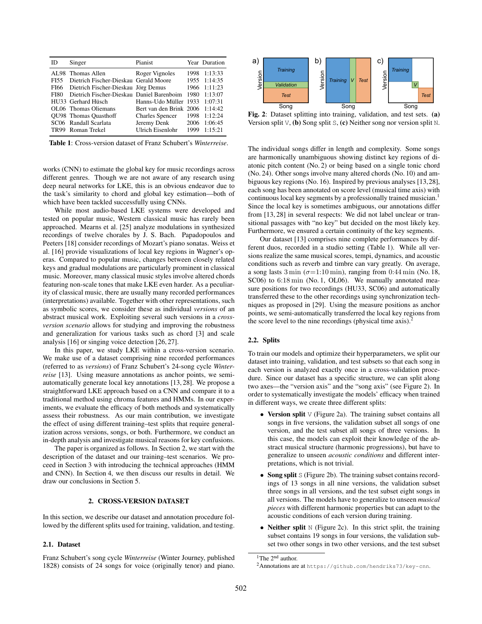| ID               | Singer                                    | Pianist                         |      | Year Duration |
|------------------|-------------------------------------------|---------------------------------|------|---------------|
|                  | AL98 Thomas Allen                         | Roger Vignoles                  |      | 1998 1:13:33  |
| FI55             | Dietrich Fischer-Dieskau Gerald Moore     |                                 |      | 1955 1:14:35  |
|                  | FI66 Dietrich Fischer-Dieskau Jörg Demus  |                                 |      | 1966 1:11:23  |
| <b>FI80</b>      | Dietrich Fischer-Dieskau Daniel Barenboim |                                 |      | 1980 1:13:07  |
|                  | HU33 Gerhard Hüsch                        | Hanns-Udo Müller 1933 1:07:31   |      |               |
|                  | OL06 Thomas Oliemans                      | Bert van den Brink 2006 1:14:42 |      |               |
|                  | <b>OU98</b> Thomas Quasthoff              | <b>Charles Spencer</b>          |      | 1998 1:12:24  |
|                  | SC06 Randall Scarlata                     | Jeremy Denk 2006 1:06:45        |      |               |
| TR <sub>99</sub> | Roman Trekel                              | <b>Ulrich Eisenlohr</b>         | 1999 | 1:15:21       |

Table 1: Cross-version dataset of Franz Schubert's *Winterreise*.

works (CNN) to estimate the global key for music recordings across different genres. Though we are not aware of any research using deep neural networks for LKE, this is an obvious endeavor due to the task's similarity to chord and global key estimation—both of which have been tackled successfully using CNNs.

While most audio-based LKE systems were developed and tested on popular music, Western classical music has rarely been approached. Mearns et al. [25] analyze modulations in synthesized recordings of twelve chorales by J. S. Bach. Papadopoulos and Peeters [18] consider recordings of Mozart's piano sonatas. Weiss et al. [16] provide visualizations of local key regions in Wagner's operas. Compared to popular music, changes between closely related keys and gradual modulations are particularly prominent in classical music. Moreover, many classical music styles involve altered chords featuring non-scale tones that make LKE even harder. As a peculiarity of classical music, there are usually many recorded performances (interpretations) available. Together with other representations, such as symbolic scores, we consider these as individual *versions* of an abstract musical work. Exploiting several such versions in a *crossversion scenario* allows for studying and improving the robustness and generalization for various tasks such as chord [3] and scale analysis [16] or singing voice detection [26, 27].

In this paper, we study LKE within a cross-version scenario. We make use of a dataset comprising nine recorded performances (referred to as *versions*) of Franz Schubert's 24-song cycle *Winterreise* [13]. Using measure annotations as anchor points, we semiautomatically generate local key annotations [13, 28]. We propose a straightforward LKE approach based on a CNN and compare it to a traditional method using chroma features and HMMs. In our experiments, we evaluate the efficacy of both methods and systematically assess their robustness. As our main contribution, we investigate the effect of using different training–test splits that require generalization across versions, songs, or both. Furthermore, we conduct an in-depth analysis and investigate musical reasons for key confusions.

The paper is organized as follows. In Section 2, we start with the description of the dataset and our training–test scenarios. We proceed in Section 3 with introducing the technical approaches (HMM and CNN). In Section 4, we then discuss our results in detail. We draw our conclusions in Section 5.

## 2. CROSS-VERSION DATASET

In this section, we describe our dataset and annotation procedure followed by the different splits used for training, validation, and testing.

#### 2.1. Dataset

Franz Schubert's song cycle *Winterreise* (Winter Journey, published 1828) consists of 24 songs for voice (originally tenor) and piano.



Fig. 2: Dataset splitting into training, validation, and test sets. (a) Version split V, (b) Song split S, (c) Neither song nor version split N.

The individual songs differ in length and complexity. Some songs are harmonically unambiguous showing distinct key regions of diatonic pitch content (No. 2) or being based on a single tonic chord (No. 24). Other songs involve many altered chords (No. 10) and ambiguous key regions (No. 16). Inspired by previous analyses [13,28], each song has been annotated on score level (musical time axis) with continuous local key segments by a professionally trained musician.<sup>1</sup> Since the local key is sometimes ambiguous, our annotations differ from [13, 28] in several respects: We did not label unclear or transitional passages with "no key" but decided on the most likely key. Furthermore, we ensured a certain continuity of the key segments.

Our dataset [13] comprises nine complete performances by different duos, recorded in a studio setting (Table 1). While all versions realize the same musical scores, tempi, dynamics, and acoustic conditions such as reverb and timbre can vary greatly. On average, a song lasts  $3 \text{ min } (\sigma = 1:10 \text{ min})$ , ranging from 0:44 min (No. 18, SC06) to  $6:18 \text{ min}$  (No. 1, OL06). We manually annotated measure positions for two recordings (HU33, SC06) and automatically transferred these to the other recordings using synchronization techniques as proposed in [29]. Using the measure positions as anchor points, we semi-automatically transferred the local key regions from the score level to the nine recordings (physical time axis).<sup>2</sup>

#### 2.2. Splits

To train our models and optimize their hyperparameters, we split our dataset into training, validation, and test subsets so that each song in each version is analyzed exactly once in a cross-validation procedure. Since our dataset has a specific structure, we can split along two axes—the "version axis" and the "song axis" (see Figure 2). In order to systematically investigate the models' efficacy when trained in different ways, we create three different splits:

- Version split  $\vee$  (Figure 2a). The training subset contains all songs in five versions, the validation subset all songs of one version, and the test subset all songs of three versions. In this case, the models can exploit their knowledge of the abstract musical structure (harmonic progressions), but have to generalize to unseen *acoustic conditions* and different interpretations, which is not trivial.
- Song split S (Figure 2b). The training subset contains recordings of 13 songs in all nine versions, the validation subset three songs in all versions, and the test subset eight songs in all versions. The models have to generalize to unseen *musical pieces* with different harmonic properties but can adapt to the acoustic conditions of each version during training.
- Neither split  $N$  (Figure 2c). In this strict split, the training subset contains 19 songs in four versions, the validation subset two other songs in two other versions, and the test subset

<sup>&</sup>lt;sup>1</sup>The 2<sup>nd</sup> author.

<sup>2</sup>Annotations are at https://github.com/hendriks73/key-cnn.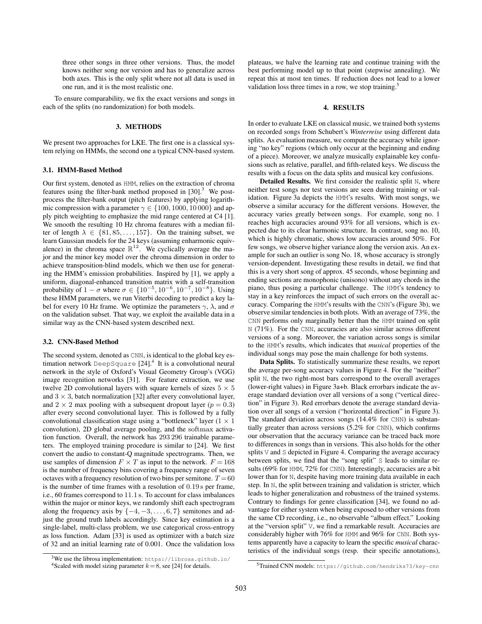three other songs in three other versions. Thus, the model knows neither song nor version and has to generalize across both axes. This is the only split where not all data is used in one run, and it is the most realistic one.

To ensure comparability, we fix the exact versions and songs in each of the splits (no randomization) for both models.

## 3. METHODS

We present two approaches for LKE. The first one is a classical system relying on HMMs, the second one a typical CNN-based system.

#### 3.1. HMM-Based Method

Our first system, denoted as HMM, relies on the extraction of chroma features using the filter-bank method proposed in  $[30]$ <sup>3</sup>. We postprocess the filter-bank output (pitch features) by applying logarithmic compression with a parameter  $\gamma \in \{100, 1000, 10000\}$  and apply pitch weighting to emphasize the mid range centered at C4 [1]. We smooth the resulting 10 Hz chroma features with a median filter of length  $\lambda \in \{81, 85, \ldots, 157\}$ . On the training subset, we learn Gaussian models for the 24 keys (assuming enharmonic equivalence) in the chroma space  $\mathbb{R}^{12}$ . We cyclically average the major and the minor key model over the chroma dimension in order to achieve transposition-blind models, which we then use for generating the HMM's emission probabilities. Inspired by [1], we apply a uniform, diagonal-enhanced transition matrix with a self-transition probability of  $1 - \sigma$  where  $\sigma \in \{10^{-5}, 10^{-6}, 10^{-7}, 10^{-8}\}$ . Using these HMM parameters, we run Viterbi decoding to predict a key label for every 10 Hz frame. We optimize the parameters  $\gamma$ ,  $\lambda$ , and  $\sigma$ on the validation subset. That way, we exploit the available data in a similar way as the CNN-based system described next.

## 3.2. CNN-Based Method

The second system, denoted as CNN, is identical to the global key estimation network <code>DeepSquare</code> [24]. $^4$  It is a convolutional neural network in the style of Oxford's Visual Geometry Group's (VGG) image recognition networks [31]. For feature extraction, we use twelve 2D convolutional layers with square kernels of sizes  $5 \times 5$ and  $3 \times 3$ , batch normalization [32] after every convolutional layer, and  $2 \times 2$  max pooling with a subsequent dropout layer ( $p = 0.3$ ) after every second convolutional layer. This is followed by a fully convolutional classification stage using a "bottleneck" layer  $(1 \times 1)$ convolution), 2D global average pooling, and the softmax activation function. Overall, the network has 293 296 trainable parameters. The employed training procedure is similar to [24]. We first convert the audio to constant-Q magnitude spectrograms. Then, we use samples of dimension  $F \times T$  as input to the network.  $F = 168$ is the number of frequency bins covering a frequency range of seven octaves with a frequency resolution of two bins per semitone.  $T = 60$ is the number of time frames with a resolution of 0.19 s per frame, i.e., 60 frames correspond to 11.1 s. To account for class imbalances within the major or minor keys, we randomly shift each spectrogram along the frequency axis by  $\{-4, -3, \ldots, 6, 7\}$  semitones and adjust the ground truth labels accordingly. Since key estimation is a single-label, multi-class problem, we use categorical cross-entropy as loss function. Adam [33] is used as optimizer with a batch size of 32 and an initial learning rate of 0.001. Once the validation loss

plateaus, we halve the learning rate and continue training with the best performing model up to that point (stepwise annealing). We repeat this at most ten times. If reduction does not lead to a lower validation loss three times in a row, we stop training.<sup>5</sup>

#### 4. RESULTS

In order to evaluate LKE on classical music, we trained both systems on recorded songs from Schubert's *Winterreise* using different data splits. As evaluation measure, we compute the accuracy while ignoring "no key" regions (which only occur at the beginning and ending of a piece). Moreover, we analyze musically explainable key confusions such as relative, parallel, and fifth-related keys. We discuss the results with a focus on the data splits and musical key confusions.

Detailed Results. We first consider the realistic split N, where neither test songs nor test versions are seen during training or validation. Figure 3a depicts the HMM's results. With most songs, we observe a similar accuracy for the different versions. However, the accuracy varies greatly between songs. For example, song no. 1 reaches high accuracies around 93% for all versions, which is expected due to its clear harmonic structure. In contrast, song no. 10, which is highly chromatic, shows low accuracies around 50%. For few songs, we observe higher variance along the version axis. An example for such an outlier is song No. 18, whose accuracy is strongly version-dependent. Investigating these results in detail, we find that this is a very short song of approx. 45 seconds, whose beginning and ending sections are monophonic (unisono) without any chords in the piano, thus posing a particular challenge. The HMM's tendency to stay in a key reinforces the impact of such errors on the overall accuracy. Comparing the HMM's results with the CNN's (Figure 3b), we observe similar tendencies in both plots. With an average of 73%, the CNN performs only marginally better than the HMM trained on split N (71%). For the CNN, accuracies are also similar across different versions of a song. Moreover, the variation across songs is similar to the HMM's results, which indicates that *musical* properties of the individual songs may pose the main challenge for both systems.

Data Splits. To statistically summarize these results, we report the average per-song accuracy values in Figure 4. For the "neither" split N, the two right-most bars correspond to the overall averages (lower-right values) in Figure 3a+b. Black errorbars indicate the average standard deviation over all versions of a song ("vertical direction" in Figure 3). Red errorbars denote the average standard deviation over all songs of a version ("horizontal direction" in Figure 3). The standard deviation across songs (14.4% for CNN) is substantially greater than across versions (5.2% for CNN), which confirms our observation that the accuracy variance can be traced back more to differences in songs than in versions. This also holds for the other splits V and S depicted in Figure 4. Comparing the average accuracy between splits, we find that the "song split" S leads to similar results (69% for HMM, 72% for CNN). Interestingly, accuracies are a bit lower than for N, despite having more training data available in each step. In N, the split between training and validation is stricter, which leads to higher generalization and robustness of the trained systems. Contrary to findings for genre classification [34], we found no advantage for either system when being exposed to other versions from the same CD recording, i.e., no observable "album effect." Looking at the "version split" V, we find a remarkable result. Accuracies are considerably higher with 76% for HMM and 96% for CNN. Both systems apparently have a capacity to learn the specific *musical* characteristics of the individual songs (resp. their specific annotations),

 $3$ We use the librosa implementation: https://librosa.github.io/ <sup>4</sup>Scaled with model sizing parameter  $k = 8$ , see [24] for details.

<sup>5</sup>Trained CNN models: https://github.com/hendriks73/key-cnn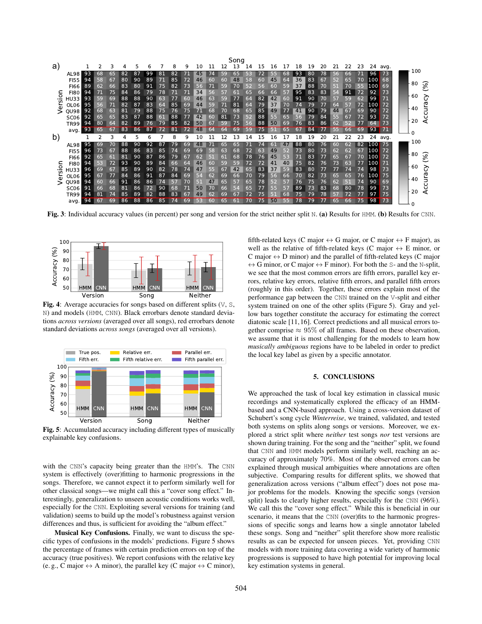

Fig. 3: Individual accuracy values (in percent) per song and version for the strict neither split N. (a) Results for HMM. (b) Results for CNN.



Fig. 4: Average accuracies for songs based on different splits  $(V, S, \mathcal{L})$ N) and models (HMM, CNN). Black errorbars denote standard deviations *across versions* (averaged over all songs), red errorbars denote standard deviations *across songs* (averaged over all versions).



Fig. 5: Accumulated accuracy including different types of musically explainable key confusions.

with the CNN's capacity being greater than the HMM's. The CNN system is effectively (over)fitting to harmonic progressions in the songs. Therefore, we cannot expect it to perform similarly well for other classical songs—we might call this a "cover song effect." Interestingly, generalization to unseen acoustic conditions works well, especially for the CNN. Exploiting several versions for training (and validation) seems to build up the model's robustness against version differences and thus, is sufficient for avoiding the "album effect."

Musical Key Confusions. Finally, we want to discuss the specific types of confusions in the models' predictions. Figure 5 shows the percentage of frames with certain prediction errors on top of the accuracy (true positives). We report confusions with the relative key (e. g., C major  $\leftrightarrow$  A minor), the parallel key (C major  $\leftrightarrow$  C minor),

fifth-related keys (C major  $\leftrightarrow$  G major, or C major  $\leftrightarrow$  F major), as well as the relative of fifth-related keys (C major  $\leftrightarrow$  E minor, or C major  $\leftrightarrow$  D minor) and the parallel of fifth-related keys (C major  $\leftrightarrow$  G minor, or C major  $\leftrightarrow$  F minor). For both the S- and the N-split, we see that the most common errors are fifth errors, parallel key errors, relative key errors, relative fifth errors, and parallel fifth errors (roughly in this order). Together, these errors explain most of the performance gap between the CNN trained on the V-split and either system trained on one of the other splits (Figure 5). Gray and yellow bars together constitute the accuracy for estimating the correct diatonic scale [11, 16]. Correct predictions and all musical errors together comprise  $\approx 95\%$  of all frames. Based on these observation, we assume that it is most challenging for the models to learn how *musically ambiguous* regions have to be labeled in order to predict the local key label as given by a specific annotator.

## 5. CONCLUSIONS

We approached the task of local key estimation in classical music recordings and systematically explored the efficacy of an HMMbased and a CNN-based approach. Using a cross-version dataset of Schubert's song cycle *Winterreise*, we trained, validated, and tested both systems on splits along songs or versions. Moreover, we explored a strict split where *neither* test songs *nor* test versions are shown during training. For the song and the "neither" split, we found that CNN and HMM models perform similarly well, reaching an accuracy of approximately 70%. Most of the observed errors can be explained through musical ambiguities where annotations are often subjective. Comparing results for different splits, we showed that generalization across versions ("album effect") does not pose major problems for the models. Knowing the specific songs (version split) leads to clearly higher results, especially for the CNN (96%). We call this the "cover song effect." While this is beneficial in our scenario, it means that the CNN (over)fits to the harmonic progressions of specific songs and learns how a single annotator labeled these songs. Song and "neither" split therefore show more realistic results as can be expected for unseen pieces. Yet, providing CNN models with more training data covering a wide variety of harmonic progressions is supposed to have high potential for improving local key estimation systems in general.